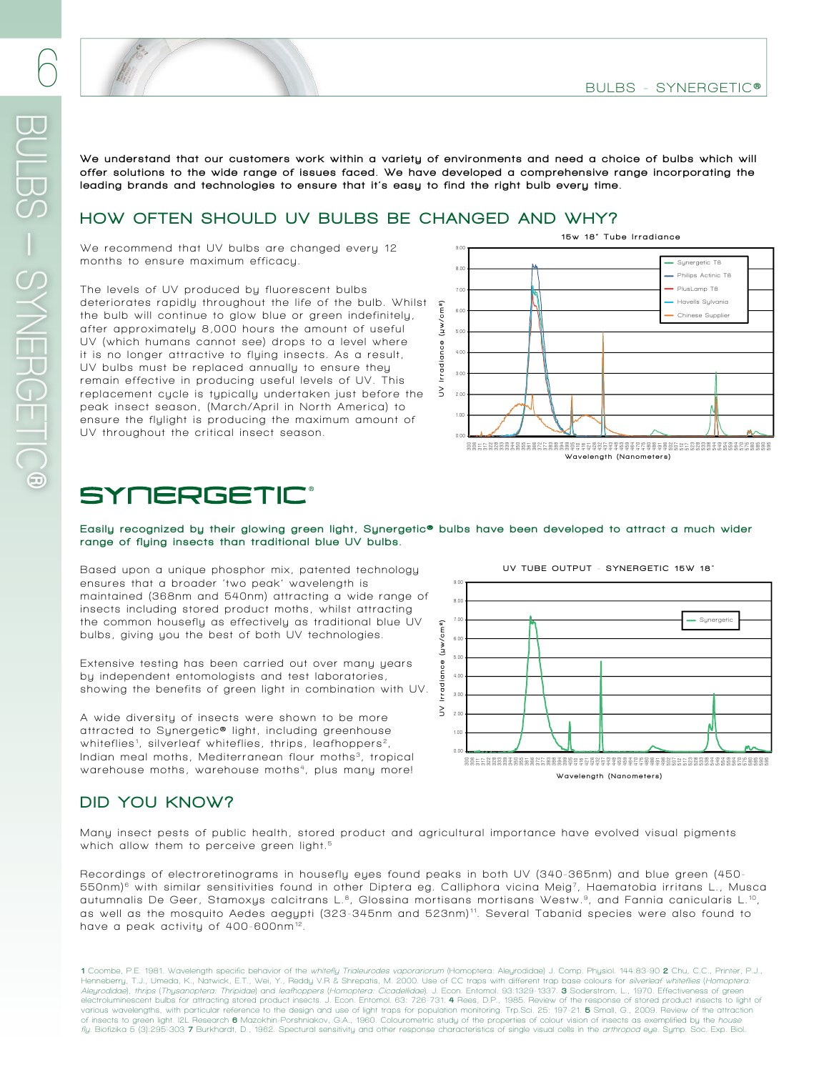We understand that our customers work within a variety of environments and need a choice of bulbs which will offer solutions to the wide range of issues faced. We have developed a comprehensive range incorporating the leading brands and technologies to ensure that it's easy to find the right bulb every time.

### HOW OFTEN SHOULD UV BULBS BE CHANGED AND WHY?

We recommend that UV bulbs are changed every 12 months to ensure maximum efficacy.

The levels of UV produced by fluorescent bulbs deteriorates rapidly throughout the life of the bulb. Whilst the bulb will continue to glow blue or green indefinitely, after approximately 8,000 hours the amount of useful UV (which humans cannot see) drops to a level where it is no longer attractive to flying insects. As a result, UV bulbs must be replaced annually to ensure they remain effective in producing useful levels of UV. This replacement cycle is typically undertaken just before the peak insect season, (March/April in North America) to ensure the flylight is producing the maximum amount of **UV throughout the critical insect season.**



Wavelength (Nanometers)

Easily recognized by their glowing green light, Synergetic<sup>®</sup> bulbs have been developed to attract a much wider range of flying insects than traditional blue UV bulbs.

Based upon a unique phosphor mix, patented technology ensures that a broader 'two peak' wavelength is maintained (368nm and 540nm) attracting a wide range of insects including stored product moths, whilst attracting the common housefly as effectively as traditional blue UV **bulbs, giving you the best of both UV technologies.**

Extensive testing has been carried out over many years by independent entomologists and test laboratories, **showing the benefits of green light in combination with UV.**

A wide diversity of insects were shown to be more attracted to Synergetic<sup>®</sup> light, including greenhouse **whiteflies <sup>1</sup> , silverleaf whiteflies, thrips, leafhoppers 2,**  Indian meal moths, Mediterranean flour moths<sup>3</sup>, tropical warehouse moths, warehouse moths<sup>4</sup>, plus many more!



### DID YOU KNOW?

Many insect pests of public health, stored product and agricultural importance have evolved visual pigments which allow them to perceive green light.<sup>5</sup>

**Recordings of electroretinograms in housefly eyes found peaks in both UV (340-365nm) and blue green (450-**  $550$ nm)<sup>e</sup> with similar sensitivities found in other Diptera eg. Calliphora vicina Meig<sup>7</sup>, Haematobia irritans L., Musca autumnalis De Geer, Stamoxys calcitrans L.<sup>8</sup>, Glossina mortisans mortisans Westw.<sup>9</sup>, and Fannia canicularis L.<sup>10</sup>, as well as the mosquito Aedes aegypti (323-345nm and 523nm)<sup>11</sup>. Several Tabanid species were also found to have a peak activity of 400-600nm<sup>12</sup>.

1 **Coombe, P.E. 1981. Wavelength specific behavior of the whitefly Trialeurodes vaporariorum (Homoptera: Aleyrodidae) J. Comp. Physiol. 144:83-90** 2 **Chu, C.C., Printer, P.J., Henneberry, T.J., Umeda, K., Natwick, E.T., Wei, Y., Reddy V.R & Shrepatis, M. 2000. Use of CC traps with different trap base colours for silverleaf whiteflies (Homoptera:**  *Aleyrodidae), thrips (Thysanoptera: Thripidae)* and *leafhoppers (Homoptera: Cicadellidae).* J. Econ. Entomol. 93:1329-1337. **3** Soderstrom, L., 1970. Effectiveness of green<br>electroluminescent bulbs for attracting stored various wavelengths, with particular reference to the design and use of light traps for population monitoring. Trp.Sci. 25: 197-21. **5** Small, G., 2009. Review of the attraction<br>of insects to green light. I2L Research **6**